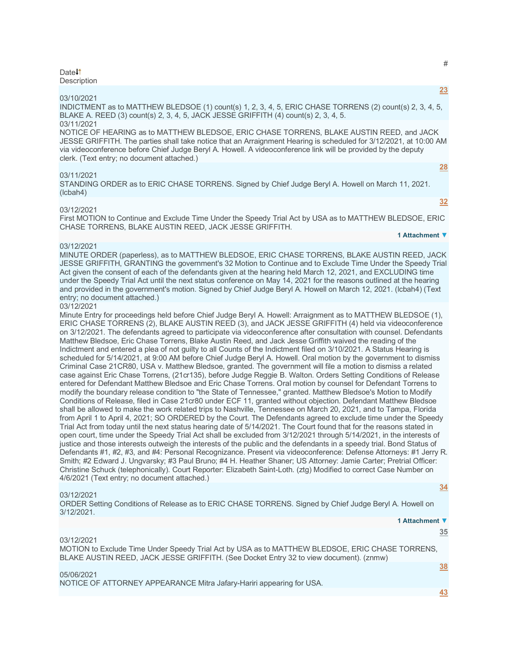#### Date<sup>1</sup> **Description**

#### 03/10/2021

INDICTMENT as to MATTHEW BLEDSOE (1) count(s) 1, 2, 3, 4, 5, ERIC CHASE TORRENS (2) count(s) 2, 3, 4, 5, BLAKE A. REED (3) count(s) 2, 3, 4, 5, JACK JESSE GRIFFITH (4) count(s) 2, 3, 4, 5. 03/11/2021

NOTICE OF HEARING as to MATTHEW BLEDSOE, ERIC CHASE TORRENS, BLAKE AUSTIN REED, and JACK JESSE GRIFFITH. The parties shall take notice that an Arraignment Hearing is scheduled for 3/12/2021, at 10:00 AM via videoconference before Chief Judge Beryl A. Howell. A videoconference link will be provided by the deputy clerk. (Text entry; no document attached.)

#### 03/11/2021

STANDING ORDER as to ERIC CHASE TORRENS. Signed by Chief Judge Beryl A. Howell on March 11, 2021. (lcbah4)

#### 03/12/2021

First MOTION to Continue and Exclude Time Under the Speedy Trial Act by USA as to MATTHEW BLEDSOE, ERIC CHASE TORRENS, BLAKE AUSTIN REED, JACK JESSE GRIFFITH.

#### 03/12/2021

MINUTE ORDER (paperless), as to MATTHEW BLEDSOE, ERIC CHASE TORRENS, BLAKE AUSTIN REED, JACK JESSE GRIFFITH, GRANTING the government's 32 Motion to Continue and to Exclude Time Under the Speedy Trial Act given the consent of each of the defendants given at the hearing held March 12, 2021, and EXCLUDING time under the Speedy Trial Act until the next status conference on May 14, 2021 for the reasons outlined at the hearing and provided in the government's motion. Signed by Chief Judge Beryl A. Howell on March 12, 2021. (lcbah4) (Text entry; no document attached.)

#### 03/12/2021

Minute Entry for proceedings held before Chief Judge Beryl A. Howell: Arraignment as to MATTHEW BLEDSOE (1), ERIC CHASE TORRENS (2), BLAKE AUSTIN REED (3), and JACK JESSE GRIFFITH (4) held via videoconference on 3/12/2021. The defendants agreed to participate via videoconference after consultation with counsel. Defendants Matthew Bledsoe, Eric Chase Torrens, Blake Austin Reed, and Jack Jesse Griffith waived the reading of the Indictment and entered a plea of not guilty to all Counts of the Indictment filed on 3/10/2021. A Status Hearing is scheduled for 5/14/2021, at 9:00 AM before Chief Judge Beryl A. Howell. Oral motion by the government to dismiss Criminal Case 21CR80, USA v. Matthew Bledsoe, granted. The government will file a motion to dismiss a related case against Eric Chase Torrens, (21cr135), before Judge Reggie B. Walton. Orders Setting Conditions of Release entered for Defendant Matthew Bledsoe and Eric Chase Torrens. Oral motion by counsel for Defendant Torrens to modify the boundary release condition to "the State of Tennessee," granted. Matthew Bledsoe's Motion to Modify Conditions of Release, filed in Case 21cr80 under ECF 11, granted without objection. Defendant Matthew Bledsoe shall be allowed to make the work related trips to Nashville, Tennessee on March 20, 2021, and to Tampa, Florida from April 1 to April 4, 2021; SO ORDERED by the Court. The Defendants agreed to exclude time under the Speedy Trial Act from today until the next status hearing date of 5/14/2021. The Court found that for the reasons stated in open court, time under the Speedy Trial Act shall be excluded from 3/12/2021 through 5/14/2021, in the interests of justice and those interests outweigh the interests of the public and the defendants in a speedy trial. Bond Status of Defendants #1, #2, #3, and #4: Personal Recognizance. Present via videoconference: Defense Attorneys: #1 Jerry R. Smith; #2 Edward J. Ungvarsky; #3 Paul Bruno; #4 H. Heather Shaner; US Attorney: Jamie Carter; Pretrial Officer: Christine Schuck (telephonically). Court Reporter: Elizabeth Saint-Loth. (ztg) Modified to correct Case Number on 4/6/2021 (Text entry; no document attached.)

#### 03/12/2021

ORDER Setting Conditions of Release as to ERIC CHASE TORRENS. Signed by Chief Judge Beryl A. Howell on 3/12/2021.

#### 03/12/2021

MOTION to Exclude Time Under Speedy Trial Act by USA as to MATTHEW BLEDSOE, ERIC CHASE TORRENS, BLAKE AUSTIN REED, JACK JESSE GRIFFITH. (See Docket Entry 32 to view document). (znmw)

### 05/06/2021

NOTICE OF ATTORNEY APPEARANCE Mitra Jafary-Hariri appearing for USA.

**[34](javascript:void(0))**

# **[23](javascript:void(0))**

**1 Attachment ▼**

**[38](javascript:void(0))**

**[43](javascript:void(0))**

# #

**[32](javascript:void(0))**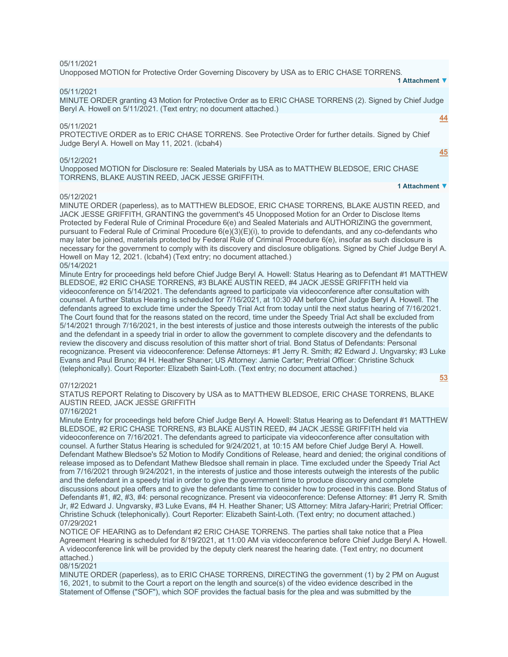#### 05/11/2021

Unopposed MOTION for Protective Order Governing Discovery by USA as to ERIC CHASE TORRENS. **1 Attachment ▼**

#### 05/11/2021

MINUTE ORDER granting 43 Motion for Protective Order as to ERIC CHASE TORRENS (2). Signed by Chief Judge Beryl A. Howell on 5/11/2021. (Text entry; no document attached.)

#### 05/11/2021

PROTECTIVE ORDER as to ERIC CHASE TORRENS. See Protective Order for further details. Signed by Chief Judge Beryl A. Howell on May 11, 2021. (lcbah4)

#### 05/12/2021

Unopposed MOTION for Disclosure re: Sealed Materials by USA as to MATTHEW BLEDSOE, ERIC CHASE TORRENS, BLAKE AUSTIN REED, JACK JESSE GRIFFITH.

# **1 Attachment ▼**

#### 05/12/2021

MINUTE ORDER (paperless), as to MATTHEW BLEDSOE, ERIC CHASE TORRENS, BLAKE AUSTIN REED, and JACK JESSE GRIFFITH, GRANTING the government's 45 Unopposed Motion for an Order to Disclose Items Protected by Federal Rule of Criminal Procedure 6(e) and Sealed Materials and AUTHORIZING the government, pursuant to Federal Rule of Criminal Procedure 6(e)(3)(E)(i), to provide to defendants, and any co-defendants who may later be joined, materials protected by Federal Rule of Criminal Procedure 6(e), insofar as such disclosure is necessary for the government to comply with its discovery and disclosure obligations. Signed by Chief Judge Beryl A. Howell on May 12, 2021. (lcbah4) (Text entry; no document attached.) 05/14/2021

Minute Entry for proceedings held before Chief Judge Beryl A. Howell: Status Hearing as to Defendant #1 MATTHEW BLEDSOE, #2 ERIC CHASE TORRENS, #3 BLAKE AUSTIN REED, #4 JACK JESSE GRIFFITH held via videoconference on 5/14/2021. The defendants agreed to participate via videoconference after consultation with counsel. A further Status Hearing is scheduled for 7/16/2021, at 10:30 AM before Chief Judge Beryl A. Howell. The defendants agreed to exclude time under the Speedy Trial Act from today until the next status hearing of 7/16/2021. The Court found that for the reasons stated on the record, time under the Speedy Trial Act shall be excluded from 5/14/2021 through 7/16/2021, in the best interests of justice and those interests outweigh the interests of the public and the defendant in a speedy trial in order to allow the government to complete discovery and the defendants to review the discovery and discuss resolution of this matter short of trial. Bond Status of Defendants: Personal recognizance. Present via videoconference: Defense Attorneys: #1 Jerry R. Smith; #2 Edward J. Ungvarsky; #3 Luke Evans and Paul Bruno; #4 H. Heather Shaner; US Attorney: Jamie Carter; Pretrial Officer: Christine Schuck (telephonically). Court Reporter: Elizabeth Saint-Loth. (Text entry; no document attached.)

#### 07/12/2021

STATUS REPORT Relating to Discovery by USA as to MATTHEW BLEDSOE, ERIC CHASE TORRENS, BLAKE AUSTIN REED, JACK JESSE GRIFFITH

#### 07/16/2021

Minute Entry for proceedings held before Chief Judge Beryl A. Howell: Status Hearing as to Defendant #1 MATTHEW BLEDSOE, #2 ERIC CHASE TORRENS, #3 BLAKE AUSTIN REED, #4 JACK JESSE GRIFFITH held via videoconference on 7/16/2021. The defendants agreed to participate via videoconference after consultation with counsel. A further Status Hearing is scheduled for 9/24/2021, at 10:15 AM before Chief Judge Beryl A. Howell. Defendant Mathew Bledsoe's 52 Motion to Modify Conditions of Release, heard and denied; the original conditions of release imposed as to Defendant Mathew Bledsoe shall remain in place. Time excluded under the Speedy Trial Act from 7/16/2021 through 9/24/2021, in the interests of justice and those interests outweigh the interests of the public and the defendant in a speedy trial in order to give the government time to produce discovery and complete discussions about plea offers and to give the defendants time to consider how to proceed in this case. Bond Status of Defendants #1, #2, #3, #4: personal recognizance. Present via videoconference: Defense Attorney: #1 Jerry R. Smith Jr, #2 Edward J. Ungvarsky, #3 Luke Evans, #4 H. Heather Shaner; US Attorney: Mitra Jafary-Hariri; Pretrial Officer: Christine Schuck (telephonically). Court Reporter: Elizabeth Saint-Loth. (Text entry; no document attached.) 07/29/2021

NOTICE OF HEARING as to Defendant #2 ERIC CHASE TORRENS. The parties shall take notice that a Plea Agreement Hearing is scheduled for 8/19/2021, at 11:00 AM via videoconference before Chief Judge Beryl A. Howell. A videoconference link will be provided by the deputy clerk nearest the hearing date. (Text entry; no document attached.)

## 08/15/2021

MINUTE ORDER (paperless), as to ERIC CHASE TORRENS, DIRECTING the government (1) by 2 PM on August 16, 2021, to submit to the Court a report on the length and source(s) of the video evidence described in the Statement of Offense ("SOF"), which SOF provides the factual basis for the plea and was submitted by the

**[44](javascript:void(0))**

**[45](javascript:void(0))**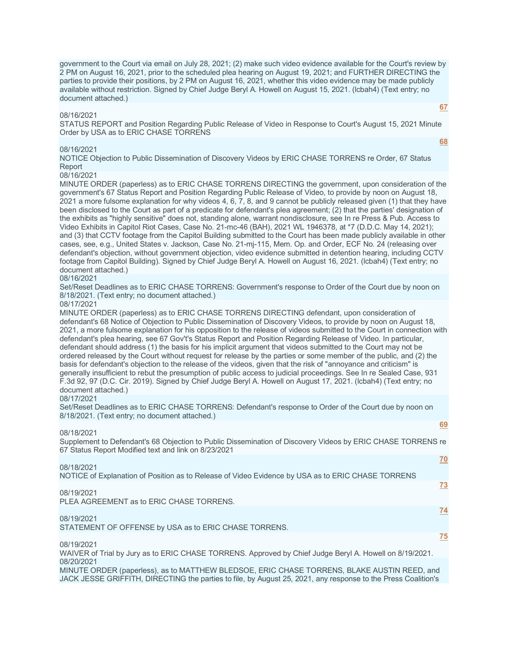government to the Court via email on July 28, 2021; (2) make such video evidence available for the Court's review by 2 PM on August 16, 2021, prior to the scheduled plea hearing on August 19, 2021; and FURTHER DIRECTING the parties to provide their positions, by 2 PM on August 16, 2021, whether this video evidence may be made publicly available without restriction. Signed by Chief Judge Beryl A. Howell on August 15, 2021. (lcbah4) (Text entry; no document attached.)

#### 08/16/2021

STATUS REPORT and Position Regarding Public Release of Video in Response to Court's August 15, 2021 Minute Order by USA as to ERIC CHASE TORRENS

#### 08/16/2021

NOTICE Objection to Public Dissemination of Discovery Videos by ERIC CHASE TORRENS re Order, 67 Status Report

08/16/2021

MINUTE ORDER (paperless) as to ERIC CHASE TORRENS DIRECTING the government, upon consideration of the government's 67 Status Report and Position Regarding Public Release of Video, to provide by noon on August 18, 2021 a more fulsome explanation for why videos 4, 6, 7, 8, and 9 cannot be publicly released given (1) that they have been disclosed to the Court as part of a predicate for defendant's plea agreement; (2) that the parties' designation of the exhibits as "highly sensitive" does not, standing alone, warrant nondisclosure, see In re Press & Pub. Access to Video Exhibits in Capitol Riot Cases, Case No. 21-mc-46 (BAH), 2021 WL 1946378, at \*7 (D.D.C. May 14, 2021); and (3) that CCTV footage from the Capitol Building submitted to the Court has been made publicly available in other cases, see, e.g., United States v. Jackson, Case No. 21-mj-115, Mem. Op. and Order, ECF No. 24 (releasing over defendant's objection, without government objection, video evidence submitted in detention hearing, including CCTV footage from Capitol Building). Signed by Chief Judge Beryl A. Howell on August 16, 2021. (lcbah4) (Text entry; no document attached.)

#### 08/16/2021

Set/Reset Deadlines as to ERIC CHASE TORRENS: Government's response to Order of the Court due by noon on 8/18/2021. (Text entry; no document attached.)

#### 08/17/2021

MINUTE ORDER (paperless) as to ERIC CHASE TORRENS DIRECTING defendant, upon consideration of defendant's 68 Notice of Objection to Public Dissemination of Discovery Videos, to provide by noon on August 18, 2021, a more fulsome explanation for his opposition to the release of videos submitted to the Court in connection with defendant's plea hearing, see 67 Gov't's Status Report and Position Regarding Release of Video. In particular, defendant should address (1) the basis for his implicit argument that videos submitted to the Court may not be ordered released by the Court without request for release by the parties or some member of the public, and (2) the basis for defendant's objection to the release of the videos, given that the risk of "annoyance and criticism" is generally insufficient to rebut the presumption of public access to judicial proceedings. See In re Sealed Case, 931 F.3d 92, 97 (D.C. Cir. 2019). Signed by Chief Judge Beryl A. Howell on August 17, 2021. (lcbah4) (Text entry; no document attached.)

#### 08/17/2021

Set/Reset Deadlines as to ERIC CHASE TORRENS: Defendant's response to Order of the Court due by noon on 8/18/2021. (Text entry; no document attached.)

#### 08/18/2021

Supplement to Defendant's 68 Objection to Public Dissemination of Discovery Videos by ERIC CHASE TORRENS re 67 Status Report Modified text and link on 8/23/2021

#### 08/18/2021

NOTICE of Explanation of Position as to Release of Video Evidence by USA as to ERIC CHASE TORRENS

#### 08/19/2021

PLEA AGREEMENT as to ERIC CHASE TORRENS.

# 08/19/2021

STATEMENT OF OFFENSE by USA as to ERIC CHASE TORRENS.

### 08/19/2021

WAIVER of Trial by Jury as to ERIC CHASE TORRENS. Approved by Chief Judge Beryl A. Howell on 8/19/2021. 08/20/2021

MINUTE ORDER (paperless), as to MATTHEW BLEDSOE, ERIC CHASE TORRENS, BLAKE AUSTIN REED, and JACK JESSE GRIFFITH, DIRECTING the parties to file, by August 25, 2021, any response to the Press Coalition's

# **[67](javascript:void(0))**

**[68](javascript:void(0))**

**[69](javascript:void(0))**

**[70](javascript:void(0))**

**[73](javascript:void(0))**

**[74](javascript:void(0))**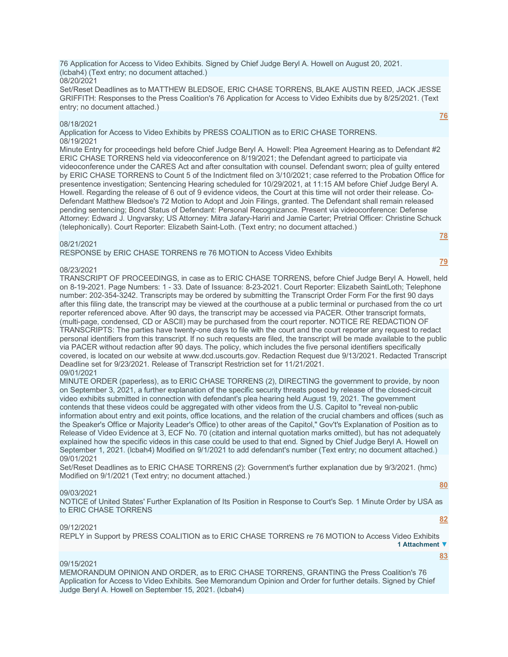76 Application for Access to Video Exhibits. Signed by Chief Judge Beryl A. Howell on August 20, 2021. (lcbah4) (Text entry; no document attached.) 08/20/2021

Set/Reset Deadlines as to MATTHEW BLEDSOE, ERIC CHASE TORRENS, BLAKE AUSTIN REED, JACK JESSE GRIFFITH: Responses to the Press Coalition's 76 Application for Access to Video Exhibits due by 8/25/2021. (Text entry; no document attached.)

#### 08/18/2021

Application for Access to Video Exhibits by PRESS COALITION as to ERIC CHASE TORRENS. 08/19/2021

Minute Entry for proceedings held before Chief Judge Beryl A. Howell: Plea Agreement Hearing as to Defendant #2 ERIC CHASE TORRENS held via videoconference on 8/19/2021; the Defendant agreed to participate via videoconference under the CARES Act and after consultation with counsel. Defendant sworn; plea of guilty entered by ERIC CHASE TORRENS to Count 5 of the Indictment filed on 3/10/2021; case referred to the Probation Office for presentence investigation; Sentencing Hearing scheduled for 10/29/2021, at 11:15 AM before Chief Judge Beryl A. Howell. Regarding the release of 6 out of 9 evidence videos, the Court at this time will not order their release. Co-Defendant Matthew Bledsoe's 72 Motion to Adopt and Join Filings, granted. The Defendant shall remain released pending sentencing; Bond Status of Defendant: Personal Recognizance. Present via videoconference: Defense Attorney: Edward J. Ungvarsky; US Attorney: Mitra Jafary-Hariri and Jamie Carter; Pretrial Officer: Christine Schuck (telephonically). Court Reporter: Elizabeth Saint-Loth. (Text entry; no document attached.) **[78](javascript:void(0))**

#### 08/21/2021

RESPONSE by ERIC CHASE TORRENS re 76 MOTION to Access Video Exhibits

#### 08/23/2021

TRANSCRIPT OF PROCEEDINGS, in case as to ERIC CHASE TORRENS, before Chief Judge Beryl A. Howell, held on 8-19-2021. Page Numbers: 1 - 33. Date of Issuance: 8-23-2021. Court Reporter: Elizabeth SaintLoth; Telephone number: 202-354-3242. Transcripts may be ordered by submitting the Transcript Order Form For the first 90 days after this filing date, the transcript may be viewed at the courthouse at a public terminal or purchased from the co urt reporter referenced above. After 90 days, the transcript may be accessed via PACER. Other transcript formats, (multi-page, condensed, CD or ASCII) may be purchased from the court reporter. NOTICE RE REDACTION OF TRANSCRIPTS: The parties have twenty-one days to file with the court and the court reporter any request to redact personal identifiers from this transcript. If no such requests are filed, the transcript will be made available to the public via PACER without redaction after 90 days. The policy, which includes the five personal identifiers specifically covered, is located on our website at www.dcd.uscourts.gov. Redaction Request due 9/13/2021. Redacted Transcript Deadline set for 9/23/2021. Release of Transcript Restriction set for 11/21/2021. 09/01/2021

MINUTE ORDER (paperless), as to ERIC CHASE TORRENS (2), DIRECTING the government to provide, by noon on September 3, 2021, a further explanation of the specific security threats posed by release of the closed-circuit video exhibits submitted in connection with defendant's plea hearing held August 19, 2021. The government contends that these videos could be aggregated with other videos from the U.S. Capitol to "reveal non-public information about entry and exit points, office locations, and the relation of the crucial chambers and offices (such as the Speaker's Office or Majority Leader's Office) to other areas of the Capitol," Gov't's Explanation of Position as to Release of Video Evidence at 3, ECF No. 70 (citation and internal quotation marks omitted), but has not adequately explained how the specific videos in this case could be used to that end. Signed by Chief Judge Beryl A. Howell on September 1, 2021. (lcbah4) Modified on 9/1/2021 to add defendant's number (Text entry; no document attached.) 09/01/2021

Set/Reset Deadlines as to ERIC CHASE TORRENS (2): Government's further explanation due by 9/3/2021. (hmc) Modified on 9/1/2021 (Text entry; no document attached.)

#### 09/03/2021

NOTICE of United States' Further Explanation of Its Position in Response to Court's Sep. 1 Minute Order by USA as to ERIC CHASE TORRENS

#### 09/12/2021

REPLY in Support by PRESS COALITION as to ERIC CHASE TORRENS re 76 MOTION to Access Video Exhibits **1 Attachment ▼**

#### 09/15/2021

MEMORANDUM OPINION AND ORDER, as to ERIC CHASE TORRENS, GRANTING the Press Coalition's 76 Application for Access to Video Exhibits. See Memorandum Opinion and Order for further details. Signed by Chief Judge Beryl A. Howell on September 15, 2021. (lcbah4)

**[80](javascript:void(0))**

**[82](javascript:void(0))**

**[83](javascript:void(0))**

## **[76](javascript:void(0))**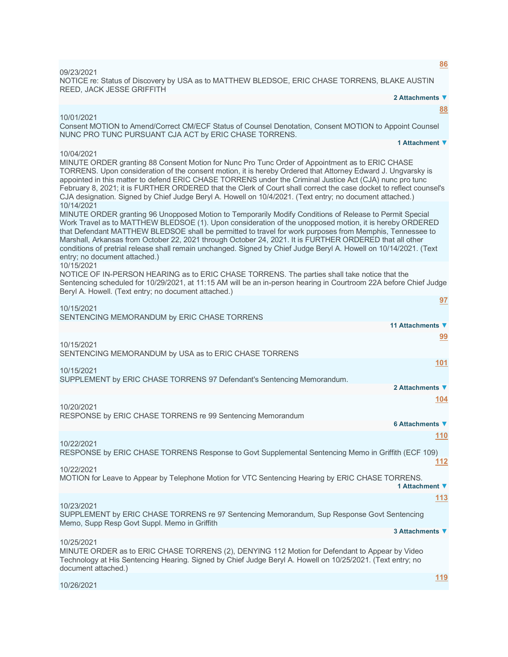NOTICE re: Status of Discovery by USA as to MATTHEW BLEDSOE, ERIC CHASE TORRENS, BLAKE AUSTIN REED, JACK JESSE GRIFFITH **2 Attachments ▼ [88](javascript:void(0))** 10/01/2021 Consent MOTION to Amend/Correct CM/ECF Status of Counsel Denotation, Consent MOTION to Appoint Counsel NUNC PRO TUNC PURSUANT CJA ACT by ERIC CHASE TORRENS. **1 Attachment ▼** 10/04/2021 MINUTE ORDER granting 88 Consent Motion for Nunc Pro Tunc Order of Appointment as to ERIC CHASE TORRENS. Upon consideration of the consent motion, it is hereby Ordered that Attorney Edward J. Ungvarsky is appointed in this matter to defend ERIC CHASE TORRENS under the Criminal Justice Act (CJA) nunc pro tunc February 8, 2021; it is FURTHER ORDERED that the Clerk of Court shall correct the case docket to reflect counsel's CJA designation. Signed by Chief Judge Beryl A. Howell on 10/4/2021. (Text entry; no document attached.) 10/14/2021 MINUTE ORDER granting 96 Unopposed Motion to Temporarily Modify Conditions of Release to Permit Special Work Travel as to MATTHEW BLEDSOE (1). Upon consideration of the unopposed motion, it is hereby ORDERED that Defendant MATTHEW BLEDSOE shall be permitted to travel for work purposes from Memphis, Tennessee to Marshall, Arkansas from October 22, 2021 through October 24, 2021. It is FURTHER ORDERED that all other conditions of pretrial release shall remain unchanged. Signed by Chief Judge Beryl A. Howell on 10/14/2021. (Text entry; no document attached.) 10/15/2021 NOTICE OF IN-PERSON HEARING as to ERIC CHASE TORRENS. The parties shall take notice that the Sentencing scheduled for 10/29/2021, at 11:15 AM will be an in-person hearing in Courtroom 22A before Chief Judge Beryl A. Howell. (Text entry; no document attached.) **[97](javascript:void(0))** 10/15/2021 SENTENCING MEMORANDUM by ERIC CHASE TORRENS **11 Attachments ▼ [99](javascript:void(0))** 10/15/2021 SENTENCING MEMORANDUM by USA as to ERIC CHASE TORRENS **[101](javascript:void(0))** 10/15/2021 SUPPLEMENT by ERIC CHASE TORRENS 97 Defendant's Sentencing Memorandum. **2 Attachments ▼ [104](javascript:void(0))** 10/20/2021 RESPONSE by ERIC CHASE TORRENS re 99 Sentencing Memorandum **6 Attachments ▼ [110](javascript:void(0))** 10/22/2021 RESPONSE by ERIC CHASE TORRENS Response to Govt Supplemental Sentencing Memo in Griffith (ECF 109) **[112](javascript:void(0))** 10/22/2021 MOTION for Leave to Appear by Telephone Motion for VTC Sentencing Hearing by ERIC CHASE TORRENS. **1 Attachment ▼ [113](javascript:void(0))** 10/23/2021 SUPPLEMENT by ERIC CHASE TORRENS re 97 Sentencing Memorandum, Sup Response Govt Sentencing Memo, Supp Resp Govt Suppl. Memo in Griffith **3 Attachments ▼** 10/25/2021 MINUTE ORDER as to ERIC CHASE TORRENS (2), DENYING 112 Motion for Defendant to Appear by Video Technology at His Sentencing Hearing. Signed by Chief Judge Beryl A. Howell on 10/25/2021. (Text entry; no document attached.)

10/26/2021

09/23/2021

**[119](javascript:void(0))**